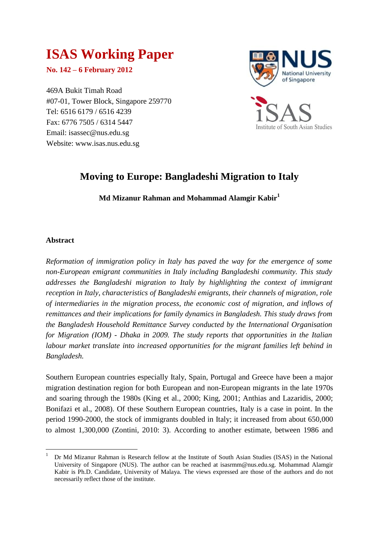# **ISAS Working Paper**

**No. 142 – 6 February 2012**

469A Bukit Timah Road #07-01, Tower Block, Singapore 259770 Tel: 6516 6179 / 6516 4239 Fax: 6776 7505 / 6314 5447 Email: isassec@nus.edu.sg Website: www.isas.nus.edu.sg



# **Moving to Europe: Bangladeshi Migration to Italy**

**Md Mizanur Rahman and Mohammad Alamgir Kabir<sup>1</sup>**

# **Abstract**

**.** 

*Reformation of immigration policy in Italy has paved the way for the emergence of some non-European emigrant communities in Italy including Bangladeshi community. This study addresses the Bangladeshi migration to Italy by highlighting the context of immigrant reception in Italy, characteristics of Bangladeshi emigrants, their channels of migration, role of intermediaries in the migration process, the economic cost of migration, and inflows of remittances and their implications for family dynamics in Bangladesh. This study draws from the Bangladesh Household Remittance Survey conducted by the International Organisation for Migration (IOM) - Dhaka in 2009. The study reports that opportunities in the Italian labour market translate into increased opportunities for the migrant families left behind in Bangladesh.* 

Southern European countries especially Italy, Spain, Portugal and Greece have been a major migration destination region for both European and non-European migrants in the late 1970s and soaring through the 1980s (King et al., 2000; King, 2001; Anthias and Lazaridis, 2000; Bonifazi et al., 2008). Of these Southern European countries, Italy is a case in point. In the period 1990-2000, the stock of immigrants doubled in Italy; it increased from about 650,000 to almost 1,300,000 (Zontini, 2010: 3). According to another estimate, between 1986 and

<sup>1</sup> Dr Md Mizanur Rahman is Research fellow at the Institute of South Asian Studies (ISAS) in the National University of Singapore (NUS). The author can be reached at isasrmm@nus.edu.sg. Mohammad Alamgir Kabir is Ph.D. Candidate, University of Malaya. The views expressed are those of the authors and do not necessarily reflect those of the institute.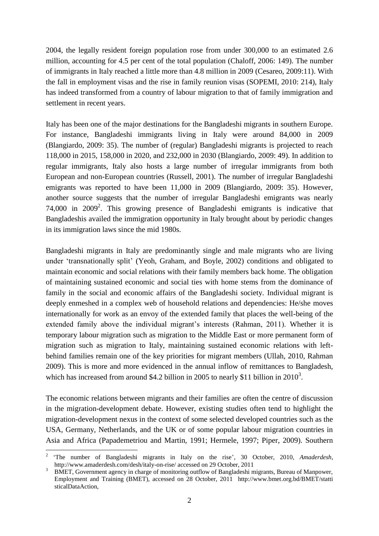2004, the legally resident foreign population rose from under 300,000 to an estimated 2.6 million, accounting for 4.5 per cent of the total population (Chaloff, 2006: 149). The number of immigrants in Italy reached a little more than 4.8 million in 2009 (Cesareo, 2009:11). With the fall in employment visas and the rise in family reunion visas (SOPEMI, 2010: 214), Italy has indeed transformed from a country of labour migration to that of family immigration and settlement in recent years.

Italy has been one of the major destinations for the Bangladeshi migrants in southern Europe. For instance, Bangladeshi immigrants living in Italy were around 84,000 in 2009 (Blangiardo, 2009: 35). The number of (regular) Bangladeshi migrants is projected to reach 118,000 in 2015, 158,000 in 2020, and 232,000 in 2030 (Blangiardo, 2009: 49). In addition to regular immigrants, Italy also hosts a large number of irregular immigrants from both European and non-European countries (Russell, 2001). The number of irregular Bangladeshi emigrants was reported to have been 11,000 in 2009 (Blangiardo, 2009: 35). However, another source suggests that the number of irregular Bangladeshi emigrants was nearly 74,000 in  $2009^2$ . This growing presence of Bangladeshi emigrants is indicative that Bangladeshis availed the immigration opportunity in Italy brought about by periodic changes in its immigration laws since the mid 1980s.

Bangladeshi migrants in Italy are predominantly single and male migrants who are living under "transnationally split" (Yeoh, Graham, and Boyle, 2002) conditions and obligated to maintain economic and social relations with their family members back home. The obligation of maintaining sustained economic and social ties with home stems from the dominance of family in the social and economic affairs of the Bangladeshi society. Individual migrant is deeply enmeshed in a complex web of household relations and dependencies: He/she moves internationally for work as an envoy of the extended family that places the well-being of the extended family above the individual migrant's interests (Rahman, 2011). Whether it is temporary labour migration such as migration to the Middle East or more permanent form of migration such as migration to Italy, maintaining sustained economic relations with leftbehind families remain one of the key priorities for migrant members (Ullah, 2010, Rahman 2009). This is more and more evidenced in the annual inflow of remittances to Bangladesh, which has increased from around \$4.2 billion in 2005 to nearly \$11 billion in  $2010<sup>3</sup>$ .

The economic relations between migrants and their families are often the centre of discussion in the migration-development debate. However, existing studies often tend to highlight the migration-development nexus in the context of some selected developed countries such as the USA, Germany, Netherlands, and the UK or of some popular labour migration countries in Asia and Africa (Papademetriou and Martin, 1991; Hermele, 1997; Piper, 2009). Southern

**.** 

<sup>2</sup> "The number of Bangladeshi migrants in Italy on the rise", 30 October, 2010, *Amaderdesh*, http://www.amaderdesh.com/desh/italy-on-rise/ accessed on 29 October, 2011

<sup>3</sup> BMET, Government agency in charge of monitoring outflow of Bangladeshi migrants, Bureau of Manpower, Employment and Training (BMET), accessed on 28 October, 2011 http://www.bmet.org.bd/BMET/statti sticalDataAction,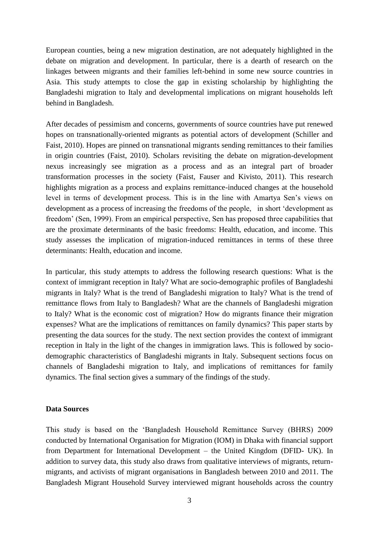European counties, being a new migration destination, are not adequately highlighted in the debate on migration and development. In particular, there is a dearth of research on the linkages between migrants and their families left-behind in some new source countries in Asia. This study attempts to close the gap in existing scholarship by highlighting the Bangladeshi migration to Italy and developmental implications on migrant households left behind in Bangladesh.

After decades of pessimism and concerns, governments of source countries have put renewed hopes on transnationally-oriented migrants as potential actors of development (Schiller and Faist, 2010). Hopes are pinned on transnational migrants sending remittances to their families in origin countries (Faist, 2010). Scholars revisiting the debate on migration-development nexus increasingly see migration as a process and as an integral part of broader transformation processes in the society (Faist, Fauser and Kivisto, 2011). This research highlights migration as a process and explains remittance-induced changes at the household level in terms of development process. This is in the line with Amartya Sen"s views on development as a process of increasing the freedoms of the people, in short "development as freedom" (Sen, 1999). From an empirical perspective, Sen has proposed three capabilities that are the proximate determinants of the basic freedoms: Health, education, and income. This study assesses the implication of migration-induced remittances in terms of these three determinants: Health, education and income.

In particular, this study attempts to address the following research questions: What is the context of immigrant reception in Italy? What are socio-demographic profiles of Bangladeshi migrants in Italy? What is the trend of Bangladeshi migration to Italy? What is the trend of remittance flows from Italy to Bangladesh? What are the channels of Bangladeshi migration to Italy? What is the economic cost of migration? How do migrants finance their migration expenses? What are the implications of remittances on family dynamics? This paper starts by presenting the data sources for the study. The next section provides the context of immigrant reception in Italy in the light of the changes in immigration laws. This is followed by sociodemographic characteristics of Bangladeshi migrants in Italy. Subsequent sections focus on channels of Bangladeshi migration to Italy, and implications of remittances for family dynamics. The final section gives a summary of the findings of the study.

# **Data Sources**

This study is based on the "Bangladesh Household Remittance Survey (BHRS) 2009 conducted by International Organisation for Migration (IOM) in Dhaka with financial support from Department for International Development – the United Kingdom (DFID- UK). In addition to survey data, this study also draws from qualitative interviews of migrants, returnmigrants, and activists of migrant organisations in Bangladesh between 2010 and 2011. The Bangladesh Migrant Household Survey interviewed migrant households across the country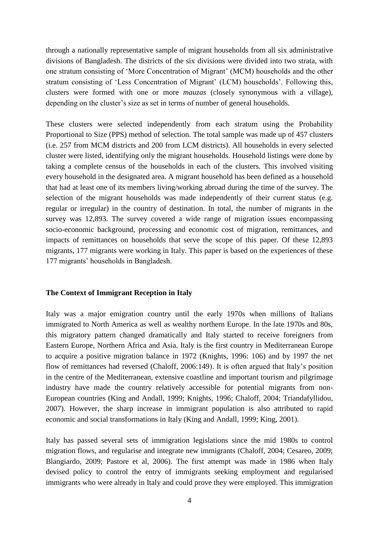through a nationally representative sample of migrant households from all six administrative divisions of Bangladesh. The districts of the six divisions were divided into two strata, with one stratum consisting of "More Concentration of Migrant" (MCM) households and the other stratum consisting of 'Less Concentration of Migrant' (LCM) households'. Following this, clusters were formed with one or more *mauzas* (closely synonymous with a village), depending on the cluster's size as set in terms of number of general households.

These clusters were selected independently from each stratum using the Probability Proportional to Size (PPS) method of selection. The total sample was made up of 457 clusters (i.e. 257 from MCM districts and 200 from LCM districts). All households in every selected cluster were listed, identifying only the migrant households. Household listings were done by taking a complete census of the households in each of the clusters. This involved visiting every household in the designated area. A migrant household has been defined as a household that had at least one of its members living/working abroad during the time of the survey. The selection of the migrant households was made independently of their current status (e.g. regular or irregular) in the country of destination. In total, the number of migrants in the survey was 12,893. The survey covered a wide range of migration issues encompassing socio-economic background, processing and economic cost of migration, remittances, and impacts of remittances on households that serve the scope of this paper. Of these 12,893 migrants, 177 migrants were working in Italy. This paper is based on the experiences of these 177 migrants" households in Bangladesh.

# **The Context of Immigrant Reception in Italy**

Italy was a major emigration country until the early 1970s when millions of Italians immigrated to North America as well as wealthy northern Europe. In the late 1970s and 80s, this migratory pattern changed dramatically and Italy started to receive foreigners from Eastern Europe, Northern Africa and Asia. Italy is the first country in Mediterranean Europe to acquire a positive migration balance in 1972 (Knights, 1996: 106) and by 1997 the net flow of remittances had reversed (Chaloff, 2006:149). It is often argued that Italy"s position in the centre of the Mediterranean, extensive coastline and important tourism and pilgrimage industry have made the country relatively accessible for potential migrants from non-European countries (King and Andall, 1999; Knights, 1996; Chaloff, 2004; Triandafyllidou, 2007). However, the sharp increase in immigrant population is also attributed to rapid economic and social transformations in Italy (King and Andall, 1999; King, 2001).

Italy has passed several sets of immigration legislations since the mid 1980s to control migration flows, and regularise and integrate new immigrants (Chaloff, 2004; Cesareo, 2009; Blangiardo, 2009; Pastore et al, 2006). The first attempt was made in 1986 when Italy devised policy to control the entry of immigrants seeking employment and regularised immigrants who were already in Italy and could prove they were employed. This immigration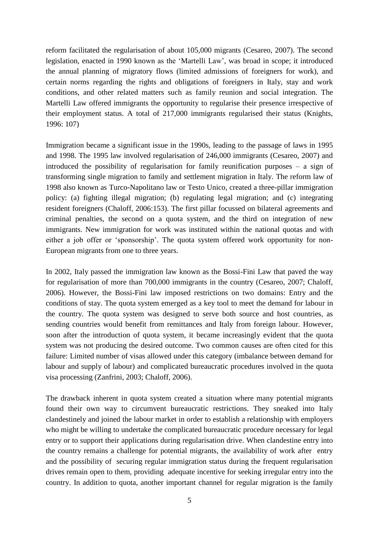reform facilitated the regularisation of about 105,000 migrants (Cesareo, 2007). The second legislation, enacted in 1990 known as the "Martelli Law", was broad in scope; it introduced the annual planning of migratory flows (limited admissions of foreigners for work), and certain norms regarding the rights and obligations of foreigners in Italy, stay and work conditions, and other related matters such as family reunion and social integration. The Martelli Law offered immigrants the opportunity to regularise their presence irrespective of their employment status. A total of 217,000 immigrants regularised their status (Knights, 1996: 107)

Immigration became a significant issue in the 1990s, leading to the passage of laws in 1995 and 1998. The 1995 law involved regularisation of 246,000 immigrants (Cesareo, 2007) and introduced the possibility of regularisation for family reunification purposes – a sign of transforming single migration to family and settlement migration in Italy. The reform law of 1998 also known as Turco-Napolitano law or Testo Unico, created a three-pillar immigration policy: (a) fighting illegal migration; (b) regulating legal migration; and (c) integrating resident foreigners (Chaloff, 2006:153). The first pillar focussed on bilateral agreements and criminal penalties, the second on a quota system, and the third on integration of new immigrants. New immigration for work was instituted within the national quotas and with either a job offer or "sponsorship". The quota system offered work opportunity for non-European migrants from one to three years.

In 2002, Italy passed the immigration law known as the Bossi-Fini Law that paved the way for regularisation of more than 700,000 immigrants in the country (Cesareo, 2007; Chaloff, 2006). However, the Bossi-Fini law imposed restrictions on two domains: Entry and the conditions of stay. The quota system emerged as a key tool to meet the demand for labour in the country. The quota system was designed to serve both source and host countries, as sending countries would benefit from remittances and Italy from foreign labour. However, soon after the introduction of quota system, it became increasingly evident that the quota system was not producing the desired outcome. Two common causes are often cited for this failure: Limited number of visas allowed under this category (imbalance between demand for labour and supply of labour) and complicated bureaucratic procedures involved in the quota visa processing (Zanfrini, 2003; Chaloff, 2006).

The drawback inherent in quota system created a situation where many potential migrants found their own way to circumvent bureaucratic restrictions. They sneaked into Italy clandestinely and joined the labour market in order to establish a relationship with employers who might be willing to undertake the complicated bureaucratic procedure necessary for legal entry or to support their applications during regularisation drive. When clandestine entry into the country remains a challenge for potential migrants, the availability of work after entry and the possibility of securing regular immigration status during the frequent regularisation drives remain open to them, providing adequate incentive for seeking irregular entry into the country. In addition to quota, another important channel for regular migration is the family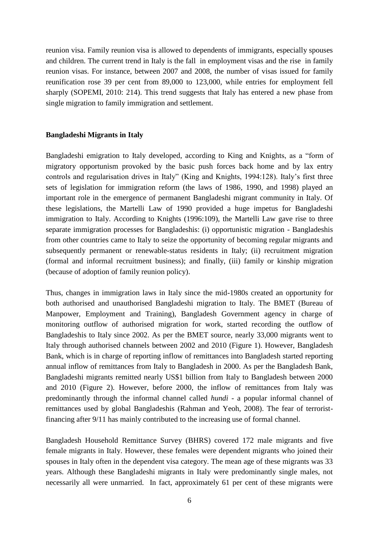reunion visa. Family reunion visa is allowed to dependents of immigrants, especially spouses and children. The current trend in Italy is the fall in employment visas and the rise in family reunion visas. For instance, between 2007 and 2008, the number of visas issued for family reunification rose 39 per cent from 89,000 to 123,000, while entries for employment fell sharply (SOPEMI, 2010: 214). This trend suggests that Italy has entered a new phase from single migration to family immigration and settlement.

#### **Bangladeshi Migrants in Italy**

Bangladeshi emigration to Italy developed, according to King and Knights, as a "form of migratory opportunism provoked by the basic push forces back home and by lax entry controls and regularisation drives in Italy" (King and Knights, 1994:128). Italy"s first three sets of legislation for immigration reform (the laws of 1986, 1990, and 1998) played an important role in the emergence of permanent Bangladeshi migrant community in Italy. Of these legislations, the Martelli Law of 1990 provided a huge impetus for Bangladeshi immigration to Italy. According to Knights (1996:109), the Martelli Law gave rise to three separate immigration processes for Bangladeshis: (i) opportunistic migration - Bangladeshis from other countries came to Italy to seize the opportunity of becoming regular migrants and subsequently permanent or renewable-status residents in Italy; (ii) recruitment migration (formal and informal recruitment business); and finally, (iii) family or kinship migration (because of adoption of family reunion policy).

Thus, changes in immigration laws in Italy since the mid-1980s created an opportunity for both authorised and unauthorised Bangladeshi migration to Italy. The BMET (Bureau of Manpower, Employment and Training), Bangladesh Government agency in charge of monitoring outflow of authorised migration for work, started recording the outflow of Bangladeshis to Italy since 2002. As per the BMET source, nearly 33,000 migrants went to Italy through authorised channels between 2002 and 2010 (Figure 1). However, Bangladesh Bank, which is in charge of reporting inflow of remittances into Bangladesh started reporting annual inflow of remittances from Italy to Bangladesh in 2000. As per the Bangladesh Bank, Bangladeshi migrants remitted nearly US\$1 billion from Italy to Bangladesh between 2000 and 2010 (Figure 2). However, before 2000, the inflow of remittances from Italy was predominantly through the informal channel called *hundi* - a popular informal channel of remittances used by global Bangladeshis (Rahman and Yeoh, 2008). The fear of terroristfinancing after 9/11 has mainly contributed to the increasing use of formal channel.

Bangladesh Household Remittance Survey (BHRS) covered 172 male migrants and five female migrants in Italy. However, these females were dependent migrants who joined their spouses in Italy often in the dependent visa category. The mean age of these migrants was 33 years. Although these Bangladeshi migrants in Italy were predominantly single males, not necessarily all were unmarried. In fact, approximately 61 per cent of these migrants were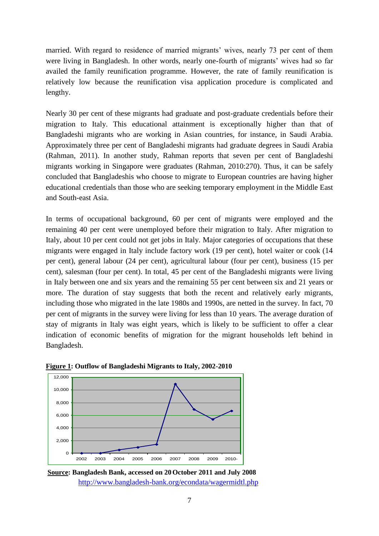married. With regard to residence of married migrants' wives, nearly 73 per cent of them were living in Bangladesh. In other words, nearly one-fourth of migrants' wives had so far availed the family reunification programme. However, the rate of family reunification is relatively low because the reunification visa application procedure is complicated and lengthy.

Nearly 30 per cent of these migrants had graduate and post-graduate credentials before their migration to Italy. This educational attainment is exceptionally higher than that of Bangladeshi migrants who are working in Asian countries, for instance, in Saudi Arabia. Approximately three per cent of Bangladeshi migrants had graduate degrees in Saudi Arabia (Rahman, 2011). In another study, Rahman reports that seven per cent of Bangladeshi migrants working in Singapore were graduates (Rahman, 2010:270). Thus, it can be safely concluded that Bangladeshis who choose to migrate to European countries are having higher educational credentials than those who are seeking temporary employment in the Middle East and South-east Asia.

In terms of occupational background, 60 per cent of migrants were employed and the remaining 40 per cent were unemployed before their migration to Italy. After migration to Italy, about 10 per cent could not get jobs in Italy. Major categories of occupations that these migrants were engaged in Italy include factory work (19 per cent), hotel waiter or cook (14 per cent), general labour (24 per cent), agricultural labour (four per cent), business (15 per cent), salesman (four per cent). In total, 45 per cent of the Bangladeshi migrants were living in Italy between one and six years and the remaining 55 per cent between six and 21 years or more. The duration of stay suggests that both the recent and relatively early migrants, including those who migrated in the late 1980s and 1990s, are netted in the survey. In fact, 70 per cent of migrants in the survey were living for less than 10 years. The average duration of stay of migrants in Italy was eight years, which is likely to be sufficient to offer a clear indication of economic benefits of migration for the migrant households left behind in Bangladesh.





**Source: Bangladesh Bank, accessed on 20October 2011 and July 2008** <http://www.bangladesh-bank.org/econdata/wagermidtl.php>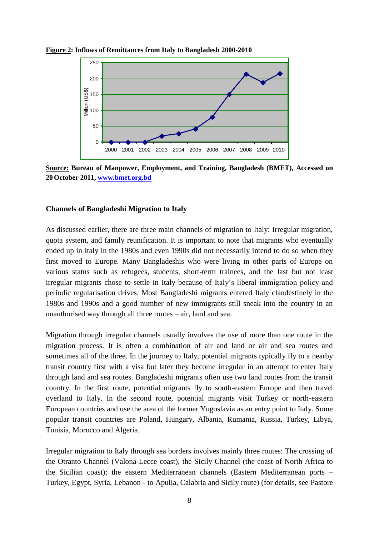

**Figure 2: Inflows of Remittances from Italy to Bangladesh 2000-2010**



#### **Channels of Bangladeshi Migration to Italy**

As discussed earlier, there are three main channels of migration to Italy: Irregular migration, quota system, and family reunification. It is important to note that migrants who eventually ended up in Italy in the 1980s and even 1990s did not necessarily intend to do so when they first moved to Europe. Many Bangladeshis who were living in other parts of Europe on various status such as refugees, students, short-term trainees, and the last but not least irregular migrants chose to settle in Italy because of Italy"s liberal immigration policy and periodic regularisation drives. Most Bangladeshi migrants entered Italy clandestinely in the 1980s and 1990s and a good number of new immigrants still sneak into the country in an unauthorised way through all three routes – air, land and sea.

Migration through irregular channels usually involves the use of more than one route in the migration process. It is often a combination of air and land or air and sea routes and sometimes all of the three. In the journey to Italy, potential migrants typically fly to a nearby transit country first with a visa but later they become irregular in an attempt to enter Italy through land and sea routes. Bangladeshi migrants often use two land routes from the transit country. In the first route, potential migrants fly to south-eastern Europe and then travel overland to Italy. In the second route, potential migrants visit Turkey or north-eastern European countries and use the area of the former Yugoslavia as an entry point to Italy. Some popular transit countries are Poland, Hungary, Albania, Rumania, Russia, Turkey, Libya, Tunisia, Morocco and Algeria.

Irregular migration to Italy through sea borders involves mainly three routes: The crossing of the Otranto Channel (Valona-Lecce coast), the Sicily Channel (the coast of North Africa to the Sicilian coast); the eastern Mediterranean channels (Eastern Mediterranean ports – Turkey, Egypt, Syria, Lebanon - to Apulia, Calabria and Sicily route) (for details, see Pastore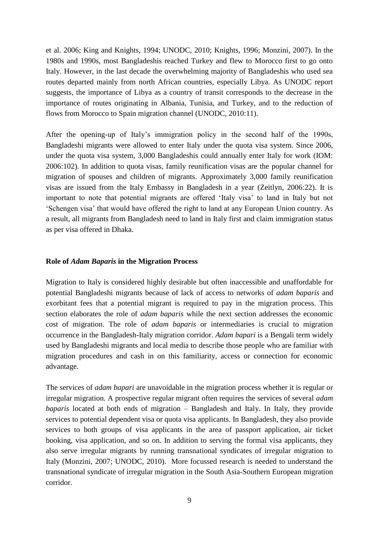et al. 2006; King and Knights, 1994; UNODC, 2010; Knights, 1996; Monzini, 2007). In the 1980s and 1990s, most Bangladeshis reached Turkey and flew to Morocco first to go onto Italy. However, in the last decade the overwhelming majority of Bangladeshis who used sea routes departed mainly from north African countries, especially Libya. As UNODC report suggests, the importance of Libya as a country of transit corresponds to the decrease in the importance of routes originating in Albania, Tunisia, and Turkey, and to the reduction of flows from Morocco to Spain migration channel (UNODC, 2010:11).

After the opening-up of Italy"s immigration policy in the second half of the 1990s, Bangladeshi migrants were allowed to enter Italy under the quota visa system. Since 2006, under the quota visa system, 3,000 Bangladeshis could annually enter Italy for work (IOM: 2006:102). In addition to quota visas, family reunification visas are the popular channel for migration of spouses and children of migrants. Approximately 3,000 family reunification visas are issued from the Italy Embassy in Bangladesh in a year (Zeitlyn, 2006:22). It is important to note that potential migrants are offered "Italy visa" to land in Italy but not "Schengen visa" that would have offered the right to land at any European Union country. As a result, all migrants from Bangladesh need to land in Italy first and claim immigration status as per visa offered in Dhaka.

# **Role of** *Adam Baparis* **in the Migration Process**

Migration to Italy is considered highly desirable but often inaccessible and unaffordable for potential Bangladeshi migrants because of lack of access to networks of *adam baparis* and exorbitant fees that a potential migrant is required to pay in the migration process. This section elaborates the role of *adam baparis* while the next section addresses the economic cost of migration. The role of *adam baparis* or intermediaries is crucial to migration occurrence in the Bangladesh-Italy migration corridor. *Adam bapari* is a Bengali term widely used by Bangladeshi migrants and local media to describe those people who are familiar with migration procedures and cash in on this familiarity, access or connection for economic advantage.

The services of *adam bapari* are unavoidable in the migration process whether it is regular or irregular migration. A prospective regular migrant often requires the services of several *adam baparis* located at both ends of migration – Bangladesh and Italy. In Italy, they provide services to potential dependent visa or quota visa applicants. In Bangladesh, they also provide services to both groups of visa applicants in the area of passport application, air ticket booking, visa application, and so on. In addition to serving the formal visa applicants, they also serve irregular migrants by running transnational syndicates of irregular migration to Italy (Monzini, 2007; UNODC, 2010). More focussed research is needed to understand the transnational syndicate of irregular migration in the South Asia-Southern European migration corridor.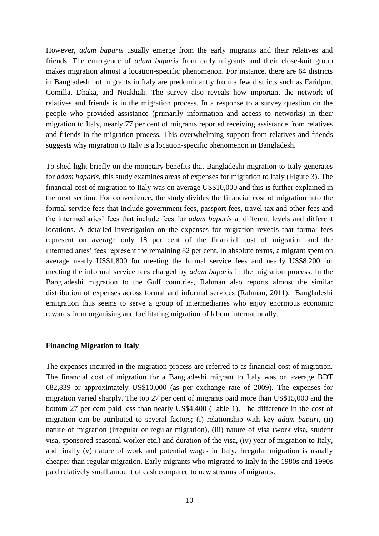However, *adam baparis* usually emerge from the early migrants and their relatives and friends. The emergence of *adam baparis* from early migrants and their close-knit group makes migration almost a location-specific phenomenon. For instance, there are 64 districts in Bangladesh but migrants in Italy are predominantly from a few districts such as Faridpur, Comilla, Dhaka, and Noakhali. The survey also reveals how important the network of relatives and friends is in the migration process. In a response to a survey question on the people who provided assistance (primarily information and access to networks) in their migration to Italy, nearly 77 per cent of migrants reported receiving assistance from relatives and friends in the migration process. This overwhelming support from relatives and friends suggests why migration to Italy is a location-specific phenomenon in Bangladesh.

To shed light briefly on the monetary benefits that Bangladeshi migration to Italy generates for *adam baparis*, this study examines areas of expenses for migration to Italy (Figure 3). The financial cost of migration to Italy was on average US\$10,000 and this is further explained in the next section. For convenience, the study divides the financial cost of migration into the formal service fees that include government fees, passport fees, travel tax and other fees and the intermediaries" fees that include fees for *adam baparis* at different levels and different locations. A detailed investigation on the expenses for migration reveals that formal fees represent on average only 18 per cent of the financial cost of migration and the intermediaries' fees represent the remaining 82 per cent. In absolute terms, a migrant spent on average nearly US\$1,800 for meeting the formal service fees and nearly US\$8,200 for meeting the informal service fees charged by *adam baparis* in the migration process. In the Bangladeshi migration to the Gulf countries, Rahman also reports almost the similar distribution of expenses across formal and informal services (Rahman, 2011). Bangladeshi emigration thus seems to serve a group of intermediaries who enjoy enormous economic rewards from organising and facilitating migration of labour internationally.

#### **Financing Migration to Italy**

The expenses incurred in the migration process are referred to as financial cost of migration. The financial cost of migration for a Bangladeshi migrant to Italy was on average BDT 682,839 or approximately US\$10,000 (as per exchange rate of 2009). The expenses for migration varied sharply. The top 27 per cent of migrants paid more than US\$15,000 and the bottom 27 per cent paid less than nearly US\$4,400 (Table 1). The difference in the cost of migration can be attributed to several factors; (i) relationship with key *adam bapari*, (ii) nature of migration (irregular or regular migration), (iii) nature of visa (work visa, student visa, sponsored seasonal worker etc.) and duration of the visa, (iv) year of migration to Italy, and finally (v) nature of work and potential wages in Italy. Irregular migration is usually cheaper than regular migration. Early migrants who migrated to Italy in the 1980s and 1990s paid relatively small amount of cash compared to new streams of migrants.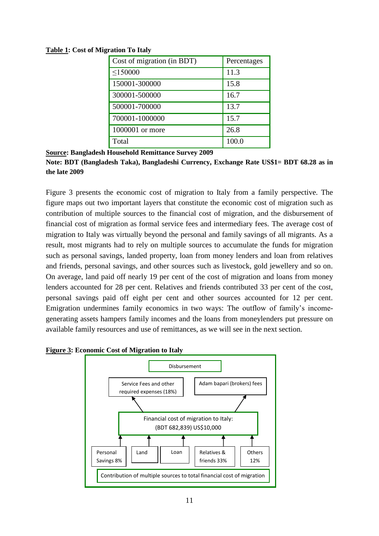**Table 1: Cost of Migration To Italy**

| Cost of migration (in BDT) | Percentages |
|----------------------------|-------------|
| $\leq$ 150000              | 11.3        |
| 150001-300000              | 15.8        |
| 300001-500000              | 16.7        |
| 500001-700000              | 13.7        |
| 700001-1000000             | 15.7        |
| 1000001 or more            | 26.8        |
| Total                      | 100.0       |

**Source: Bangladesh Household Remittance Survey 2009** 

Figure 3 presents the economic cost of migration to Italy from a family perspective. The figure maps out two important layers that constitute the economic cost of migration such as contribution of multiple sources to the financial cost of migration, and the disbursement of financial cost of migration as formal service fees and intermediary fees. The average cost of migration to Italy was virtually beyond the personal and family savings of all migrants. As a result, most migrants had to rely on multiple sources to accumulate the funds for migration such as personal savings, landed property, loan from money lenders and loan from relatives and friends, personal savings, and other sources such as livestock, gold jewellery and so on. On average, land paid off nearly 19 per cent of the cost of migration and loans from money lenders accounted for 28 per cent. Relatives and friends contributed 33 per cent of the cost, personal savings paid off eight per cent and other sources accounted for 12 per cent. Emigration undermines family economics in two ways: The outflow of family"s incomegenerating assets hampers family incomes and the loans from moneylenders put pressure on available family resources and use of remittances, as we will see in the next section.



**Figure 3: Economic Cost of Migration to Italy** 

**Note: BDT (Bangladesh Taka), Bangladeshi Currency, Exchange Rate US\$1= BDT 68.28 as in the late 2009**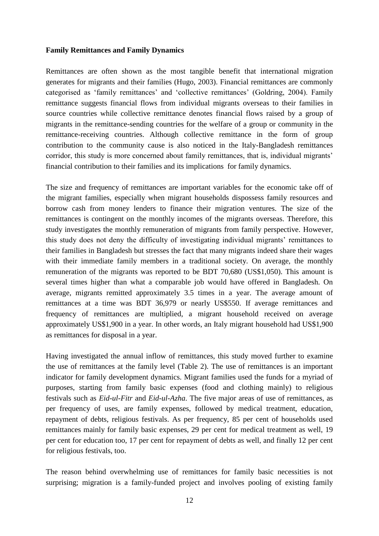# **Family Remittances and Family Dynamics**

Remittances are often shown as the most tangible benefit that international migration generates for migrants and their families (Hugo, 2003). Financial remittances are commonly categorised as 'family remittances' and 'collective remittances' (Goldring, 2004). Family remittance suggests financial flows from individual migrants overseas to their families in source countries while collective remittance denotes financial flows raised by a group of migrants in the remittance-sending countries for the welfare of a group or community in the remittance-receiving countries. Although collective remittance in the form of group contribution to the community cause is also noticed in the Italy-Bangladesh remittances corridor, this study is more concerned about family remittances, that is, individual migrants' financial contribution to their families and its implications for family dynamics.

The size and frequency of remittances are important variables for the economic take off of the migrant families, especially when migrant households dispossess family resources and borrow cash from money lenders to finance their migration ventures. The size of the remittances is contingent on the monthly incomes of the migrants overseas. Therefore, this study investigates the monthly remuneration of migrants from family perspective. However, this study does not deny the difficulty of investigating individual migrants" remittances to their families in Bangladesh but stresses the fact that many migrants indeed share their wages with their immediate family members in a traditional society. On average, the monthly remuneration of the migrants was reported to be BDT 70,680 (US\$1,050). This amount is several times higher than what a comparable job would have offered in Bangladesh. On average, migrants remitted approximately 3.5 times in a year. The average amount of remittances at a time was BDT 36,979 or nearly US\$550. If average remittances and frequency of remittances are multiplied, a migrant household received on average approximately US\$1,900 in a year. In other words, an Italy migrant household had US\$1,900 as remittances for disposal in a year.

Having investigated the annual inflow of remittances, this study moved further to examine the use of remittances at the family level (Table 2). The use of remittances is an important indicator for family development dynamics. Migrant families used the funds for a myriad of purposes, starting from family basic expenses (food and clothing mainly) to religious festivals such as *Eid-ul-Fitr* and *Eid-ul-Azha*. The five major areas of use of remittances, as per frequency of uses, are family expenses, followed by medical treatment, education, repayment of debts, religious festivals. As per frequency, 85 per cent of households used remittances mainly for family basic expenses, 29 per cent for medical treatment as well, 19 per cent for education too, 17 per cent for repayment of debts as well, and finally 12 per cent for religious festivals, too.

The reason behind overwhelming use of remittances for family basic necessities is not surprising; migration is a family-funded project and involves pooling of existing family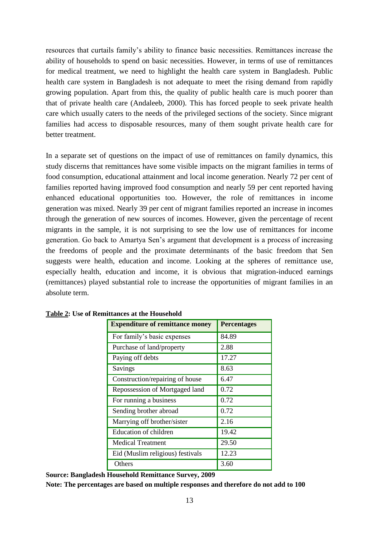resources that curtails family"s ability to finance basic necessities. Remittances increase the ability of households to spend on basic necessities. However, in terms of use of remittances for medical treatment, we need to highlight the health care system in Bangladesh. Public health care system in Bangladesh is not adequate to meet the rising demand from rapidly growing population. Apart from this, the quality of public health care is much poorer than that of private health care (Andaleeb, 2000). This has forced people to seek private health care which usually caters to the needs of the privileged sections of the society. Since migrant families had access to disposable resources, many of them sought private health care for better treatment.

In a separate set of questions on the impact of use of remittances on family dynamics, this study discerns that remittances have some visible impacts on the migrant families in terms of food consumption, educational attainment and local income generation. Nearly 72 per cent of families reported having improved food consumption and nearly 59 per cent reported having enhanced educational opportunities too. However, the role of remittances in income generation was mixed. Nearly 39 per cent of migrant families reported an increase in incomes through the generation of new sources of incomes. However, given the percentage of recent migrants in the sample, it is not surprising to see the low use of remittances for income generation. Go back to Amartya Sen"s argument that development is a process of increasing the freedoms of people and the proximate determinants of the basic freedom that Sen suggests were health, education and income. Looking at the spheres of remittance use, especially health, education and income, it is obvious that migration-induced earnings (remittances) played substantial role to increase the opportunities of migrant families in an absolute term.

| <b>Expenditure of remittance money</b> | <b>Percentages</b> |
|----------------------------------------|--------------------|
| For family's basic expenses            | 84.89              |
| Purchase of land/property              | 2.88               |
| Paying off debts                       | 17.27              |
| Savings                                | 8.63               |
| Construction/repairing of house        | 6.47               |
| Repossession of Mortgaged land         | 0.72               |
| For running a business                 | 0.72               |
| Sending brother abroad                 | 0.72               |
| Marrying off brother/sister            | 2.16               |
| Education of children                  | 19.42              |
| <b>Medical Treatment</b>               | 29.50              |
| Eid (Muslim religious) festivals       | 12.23              |
| Others                                 | 3.60               |

**Table 2: Use of Remittances at the Household**

**Source: Bangladesh Household Remittance Survey, 2009 Note: The percentages are based on multiple responses and therefore do not add to 100**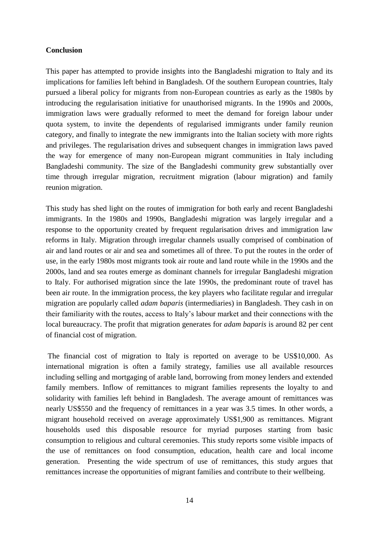# **Conclusion**

This paper has attempted to provide insights into the Bangladeshi migration to Italy and its implications for families left behind in Bangladesh. Of the southern European countries, Italy pursued a liberal policy for migrants from non-European countries as early as the 1980s by introducing the regularisation initiative for unauthorised migrants. In the 1990s and 2000s, immigration laws were gradually reformed to meet the demand for foreign labour under quota system, to invite the dependents of regularised immigrants under family reunion category, and finally to integrate the new immigrants into the Italian society with more rights and privileges. The regularisation drives and subsequent changes in immigration laws paved the way for emergence of many non-European migrant communities in Italy including Bangladeshi community. The size of the Bangladeshi community grew substantially over time through irregular migration, recruitment migration (labour migration) and family reunion migration.

This study has shed light on the routes of immigration for both early and recent Bangladeshi immigrants. In the 1980s and 1990s, Bangladeshi migration was largely irregular and a response to the opportunity created by frequent regularisation drives and immigration law reforms in Italy. Migration through irregular channels usually comprised of combination of air and land routes or air and sea and sometimes all of three. To put the routes in the order of use, in the early 1980s most migrants took air route and land route while in the 1990s and the 2000s, land and sea routes emerge as dominant channels for irregular Bangladeshi migration to Italy. For authorised migration since the late 1990s, the predominant route of travel has been air route. In the immigration process, the key players who facilitate regular and irregular migration are popularly called *adam baparis* (intermediaries) in Bangladesh. They cash in on their familiarity with the routes, access to Italy"s labour market and their connections with the local bureaucracy. The profit that migration generates for *adam baparis* is around 82 per cent of financial cost of migration.

The financial cost of migration to Italy is reported on average to be US\$10,000. As international migration is often a family strategy, families use all available resources including selling and mortgaging of arable land, borrowing from money lenders and extended family members. Inflow of remittances to migrant families represents the loyalty to and solidarity with families left behind in Bangladesh. The average amount of remittances was nearly US\$550 and the frequency of remittances in a year was 3.5 times. In other words, a migrant household received on average approximately US\$1,900 as remittances. Migrant households used this disposable resource for myriad purposes starting from basic consumption to religious and cultural ceremonies. This study reports some visible impacts of the use of remittances on food consumption, education, health care and local income generation. Presenting the wide spectrum of use of remittances, this study argues that remittances increase the opportunities of migrant families and contribute to their wellbeing.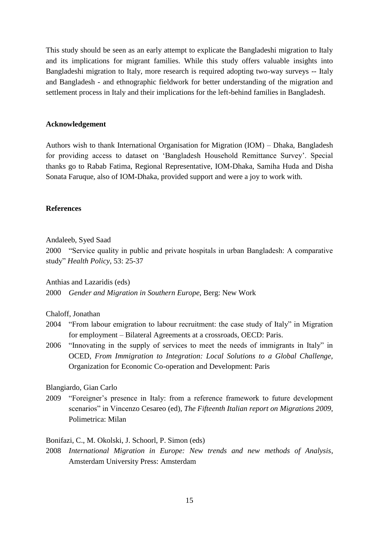This study should be seen as an early attempt to explicate the Bangladeshi migration to Italy and its implications for migrant families. While this study offers valuable insights into Bangladeshi migration to Italy, more research is required adopting two-way surveys -- Italy and Bangladesh - and ethnographic fieldwork for better understanding of the migration and settlement process in Italy and their implications for the left-behind families in Bangladesh.

#### **Acknowledgement**

Authors wish to thank International Organisation for Migration (IOM) – Dhaka, Bangladesh for providing access to dataset on "Bangladesh Household Remittance Survey". Special thanks go to Rabab Fatima, Regional Representative, IOM-Dhaka, Samiha Huda and Disha Sonata Faruque, also of IOM-Dhaka, provided support and were a joy to work with.

#### **References**

Andaleeb, Syed Saad

2000 "Service quality in public and private hospitals in urban Bangladesh: A comparative study" *Health Policy*, 53: 25-37

Anthias and Lazaridis (eds)

2000 *Gender and Migration in Southern Europe*, Berg: New Work

# Chaloff, Jonathan

- 2004 "From labour emigration to labour recruitment: the case study of Italy" in Migration for employment – Bilateral Agreements at a crossroads, OECD: Paris.
- 2006 "Innovating in the supply of services to meet the needs of immigrants in Italy" in OCED, *From Immigration to Integration: Local Solutions to a Global Challenge,* Organization for Economic Co-operation and Development: Paris

Blangiardo, Gian Carlo

2009 "Foreigner"s presence in Italy: from a reference framework to future development scenarios" in Vincenzo Cesareo (ed), *The Fifteenth Italian report on Migrations 2009*, Polimetrica: Milan

Bonifazi, C., M. Okolski, J. Schoorl, P. Simon (eds)

2008 *International Migration in Europe: New trends and new methods of Analysis*, Amsterdam University Press: Amsterdam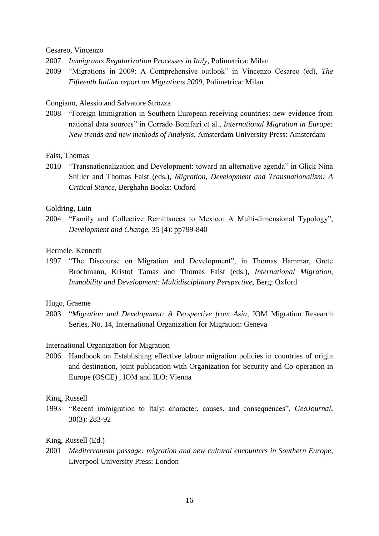#### Cesareo, Vincenzo

2007 *Immigrants Regularization Processes in Italy*, Polimetrica: Milan

2009 "Migrations in 2009: A Comprehensive outlook" in Vincenzo Cesareo (ed), *The Fifteenth Italian report on Migrations 2009*, Polimetrica: Milan

#### Congiano, Alessio and Salvatore Strozza

2008 "Foreign Immigration in Southern European receiving countries: new evidence from national data sources" in Corrado Bonifazi et al., *International Migration in Europe: New trends and new methods of Analysis*, Amsterdam University Press: Amsterdam

#### Faist, Thomas

2010 "Transnationalization and Development: toward an alternative agenda" in Glick Nina Shiller and Thomas Faist (eds.), *Migration, Development and Transnationalism: A Critical Stance*, Berghahn Books: Oxford

#### Goldring, Luin

2004 "Family and Collective Remittances to Mexico: A Multi-dimensional Typology", *Development and Change*, 35 (4): pp799-840

# Hermele, Kenneth

1997 "The Discourse on Migration and Development", in Thomas Hammar, Grete Brochmann, Kristof Tamas and Thomas Faist (eds.), *International Migration, Immobility and Development: Multidisciplinary Perspective*, Berg: Oxford

#### Hugo, Graeme

2003 "*Migration and Development: A Perspective from Asia*, IOM Migration Research Series, No. 14, International Organization for Migration: Geneva

# International Organization for Migration

2006 Handbook on Establishing effective labour migration policies in countries of origin and destination, joint publication with Organization for Security and Co-operation in Europe (OSCE) , IOM and ILO: Vienna

#### King, Russell

1993 "Recent immigration to Italy: character, causes, and consequences", *GeoJournal*, 30(3): 283-92

# King, Russell (Ed.)

2001 *Mediterranean passage: migration and new cultural encounters in Southern Europe*, Liverpool University Press: London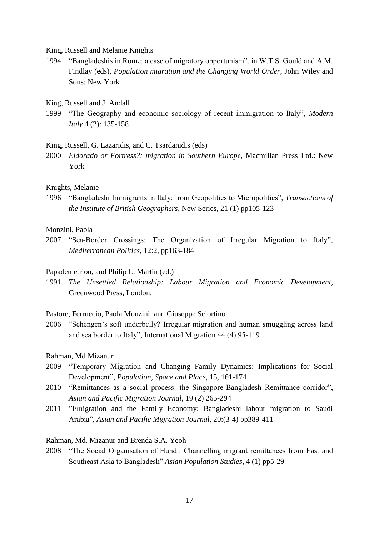King, Russell and Melanie Knights

- 1994 "Bangladeshis in Rome: a case of migratory opportunism", in W.T.S. Gould and A.M. Findlay (eds), *Population migration and the Changing World Order*, John Wiley and Sons: New York
- King, Russell and J. Andall
- 1999 "The Geography and economic sociology of recent immigration to Italy", *Modern Italy* 4 (2): 135-158

King, Russell, G. Lazaridis, and C. Tsardanidis (eds)

2000 *Eldorado or Fortress?: migration in Southern Europe*, Macmillan Press Ltd.: New York

#### Knights, Melanie

1996 "Bangladeshi Immigrants in Italy: from Geopolitics to Micropolitics", *Transactions of the Institute of British Geographers*, New Series, 21 (1) pp105-123

#### Monzini, Paola

2007 "Sea-Border Crossings: The Organization of Irregular Migration to Italy", *Mediterranean Politics*, 12:2, pp163-184

#### Papademetriou, and Philip L. Martin (ed.)

1991 *The Unsettled Relationship: Labour Migration and Economic Development*, Greenwood Press, London.

Pastore, Ferruccio, Paola Monzini, and Giuseppe Sciortino

2006 "Schengen"s soft underbelly? Irregular migration and human smuggling across land and sea border to Italy", International Migration 44 (4) 95-119

# Rahman, Md Mizanur

- 2009 "Temporary Migration and Changing Family Dynamics: Implications for Social Development", *Population, Space and Place*, 15, 161-174
- 2010 "Remittances as a social process: the Singapore-Bangladesh Remittance corridor", *Asian and Pacific Migration Journal*, 19 (2) 265-294
- 2011 "Emigration and the Family Economy: Bangladeshi labour migration to Saudi Arabia", *Asian and Pacific Migration Journal*, 20:(3-4) pp389-411

# Rahman, Md. Mizanur and Brenda S.A. Yeoh

2008 "The Social Organisation of Hundi: Channelling migrant remittances from East and Southeast Asia to Bangladesh" *Asian Population Studies*, 4 (1) pp5-29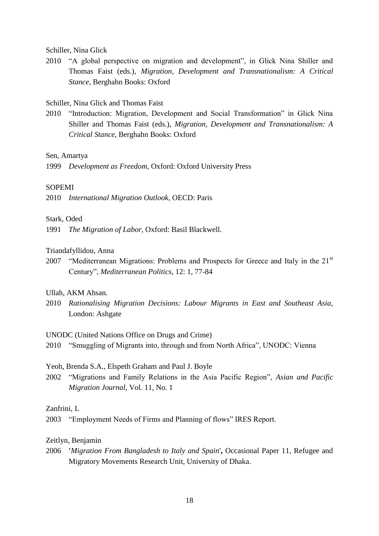Schiller, Nina Glick

2010 "A global perspective on migration and development", in Glick Nina Shiller and Thomas Faist (eds.), *Migration, Development and Transnationalism: A Critical Stance*, Berghahn Books: Oxford

# Schiller, Nina Glick and Thomas Faist

2010 "Introduction: Migration, Development and Social Transformation" in Glick Nina Shiller and Thomas Faist (eds.), *Migration, Development and Transnationalism: A Critical Stance*, Berghahn Books: Oxford

Sen, Amartya

1999 *Development as Freedom*, Oxford: Oxford University Press

### SOPEMI

2010 *International Migration Outlook*, OECD: Paris

### Stark, Oded

1991 *The Migration of Labor*, Oxford: Basil Blackwell.

### Triandafyllidou, Anna

2007 "Mediterranean Migrations: Problems and Prospects for Greece and Italy in the  $21<sup>st</sup>$ Century", *Mediterranean Politics*, 12: 1, 77-84

# Ullah, AKM Ahsan.

2010 *Rationalising Migration Decisions: Labour Migrants in East and Southeast Asia*, London: Ashgate

UNODC (United Nations Office on Drugs and Crime)

2010 "Smuggling of Migrants into, through and from North Africa", UNODC: Vienna

Yeoh, Brenda S.A., Elspeth Graham and Paul J. Boyle

2002 "Migrations and Family Relations in the Asia Pacific Region", *Asian and Pacific Migration Journal*, Vol. 11, No. 1

# Zanfrini, L

2003 "Employment Needs of Firms and Planning of flows" IRES Report.

# Zeitlyn, Benjamin

2006 **'***Migration From Bangladesh to Italy and Spain*'**,** Occasional Paper 11, Refugee and Migratory Movements Research Unit, University of Dhaka.